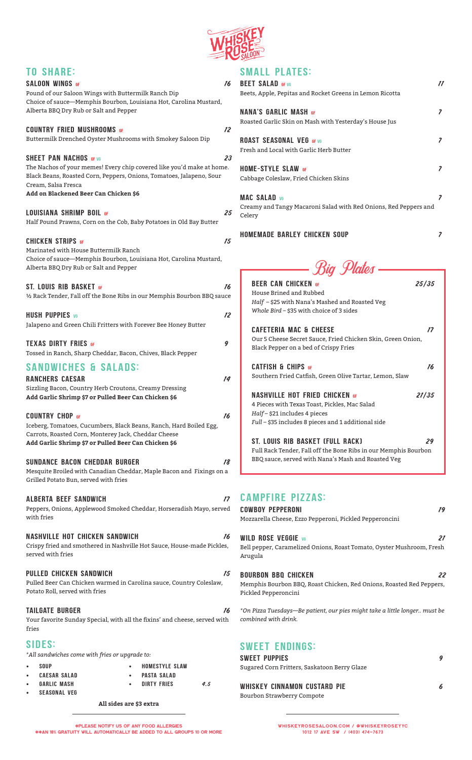

| <b>TO SHARE:</b>                                                                                                         |                                                                                  |
|--------------------------------------------------------------------------------------------------------------------------|----------------------------------------------------------------------------------|
| <b>SALOON WINGS OF</b>                                                                                                   | 16                                                                               |
| Pound of our Saloon Wings with Buttermilk Ranch Dip<br>Choice of sauce-Memphis Bourbon, Louisiana Hot, Carolina Mustard, |                                                                                  |
| Alberta BBQ Dry Rub or Salt and Pepper                                                                                   |                                                                                  |
|                                                                                                                          |                                                                                  |
| <b>COUNTRY FRIED MUSHROOMS GF</b><br>Buttermilk Drenched Oyster Mushrooms with Smokey Saloon Dip                         | 12                                                                               |
|                                                                                                                          |                                                                                  |
| <b>SHEET PAN NACHOS GF VG</b>                                                                                            | 23                                                                               |
|                                                                                                                          | The Nachos of your memes! Every chip covered like you'd make at home.            |
| Black Beans, Roasted Corn, Peppers, Onions, Tomatoes, Jalapeno, Sour<br>Cream, Salsa Fresca                              |                                                                                  |
| Add on Blackened Beer Can Chicken \$6                                                                                    |                                                                                  |
|                                                                                                                          |                                                                                  |
| <b>LOUISIANA SHRIMP BOIL GF</b>                                                                                          | 25                                                                               |
| Half Pound Prawns, Corn on the Cob, Baby Potatoes in Old Bay Butter                                                      |                                                                                  |
| <b>CHICKEN STRIPS GF</b>                                                                                                 | 15                                                                               |
| Marinated with House Buttermilk Ranch                                                                                    |                                                                                  |
| Choice of sauce-Memphis Bourbon, Louisiana Hot, Carolina Mustard,                                                        |                                                                                  |
| Alberta BBQ Dry Rub or Salt and Pepper                                                                                   |                                                                                  |
| <b>ST. LOUIS RIB BASKET GF</b>                                                                                           | 16                                                                               |
|                                                                                                                          | 1/2 Rack Tender, Fall off the Bone Ribs in our Memphis Bourbon BBQ sauce         |
| <b>HUSH PUPPIES</b> VG                                                                                                   | 12                                                                               |
| Jalapeno and Green Chili Fritters with Forever Bee Honey Butter                                                          |                                                                                  |
|                                                                                                                          |                                                                                  |
| <b>TEXAS DIRTY FRIES GF</b>                                                                                              | 9                                                                                |
| Tossed in Ranch, Sharp Cheddar, Bacon, Chives, Black Pepper                                                              |                                                                                  |
| <b>SANDWICHES &amp; SALADS:</b>                                                                                          |                                                                                  |
| <b>RANCHERS CAESAR</b>                                                                                                   | 14                                                                               |
| Sizzling Bacon, Country Herb Croutons, Creamy Dressing                                                                   |                                                                                  |
| Add Garlic Shrimp \$7 or Pulled Beer Can Chicken \$6                                                                     |                                                                                  |
| <b>COUNTRY CHOP GF</b>                                                                                                   | 16                                                                               |
| Iceberg, Tomatoes, Cucumbers, Black Beans, Ranch, Hard Boiled Egg,                                                       |                                                                                  |
| Carrots, Roasted Corn, Monterey Jack, Cheddar Cheese<br>Add Garlic Shrimp \$7 or Pulled Beer Can Chicken \$6             |                                                                                  |
|                                                                                                                          |                                                                                  |
| SUNDANCE BACON CHEDDAR BURGER                                                                                            | 18                                                                               |
|                                                                                                                          | Mesquite Broiled with Canadian Cheddar, Maple Bacon and Fixings on a             |
| Grilled Potato Bun, served with fries                                                                                    |                                                                                  |
| <b>ALBERTA BEEF SANDWICH</b>                                                                                             | 17                                                                               |
|                                                                                                                          | Peppers, Onions, Applewood Smoked Cheddar, Horseradish Mayo, served              |
| with fries                                                                                                               |                                                                                  |
| <b>NASHVILLE HOT CHICKEN SANDWICH</b>                                                                                    | 16                                                                               |
|                                                                                                                          | Crispy fried and smothered in Nashville Hot Sauce, House-made Pickles,           |
| served with fries                                                                                                        |                                                                                  |
| <b>PULLED CHICKEN SANDWICH</b>                                                                                           | 15                                                                               |
| Pulled Beer Can Chicken warmed in Carolina sauce, Country Coleslaw,                                                      |                                                                                  |
| Potato Roll, served with fries                                                                                           |                                                                                  |
|                                                                                                                          |                                                                                  |
| <b>TAILGATE BURGER</b>                                                                                                   | 16<br>Your favorite Sunday Special, with all the fixins' and cheese, served with |
| fries                                                                                                                    |                                                                                  |
|                                                                                                                          |                                                                                  |
| <b>SIDES:</b><br>*All sandwiches come with fries or upgrade to:                                                          |                                                                                  |
| <b>SOUP</b><br>$\bullet$                                                                                                 | <b>HOMESTYLE SLAW</b>                                                            |
| <b>CAESAR SALAD</b><br>$\bullet$                                                                                         | <b>PASTA SALAD</b>                                                               |
| <b>GARLIC MASH</b><br>$\bullet$                                                                                          | <b>DIRTY FRIES</b><br>4.5                                                        |

# CMALL DIATEC-

|                                                                                                   | SWALL FLAIES.<br><b>BEET SALAD OF VG</b><br>Beets, Apple, Pepitas and Rocket Greens in Lemon Ricotta                                                         | 77 |
|---------------------------------------------------------------------------------------------------|--------------------------------------------------------------------------------------------------------------------------------------------------------------|----|
|                                                                                                   | <b>NANA'S GARLIC MASH OF</b><br>Roasted Garlic Skin on Mash with Yesterday's House Jus                                                                       | 7  |
|                                                                                                   | <b>ROAST SEASONAL VEG GF VG</b><br>Fresh and Local with Garlic Herb Butter                                                                                   | 7  |
|                                                                                                   | <b>HOME-STYLE SLAW GF</b><br>Cabbage Coleslaw, Fried Chicken Skins                                                                                           |    |
| <b>MAC SALAD v6</b><br>Creamy and Tangy Macaroni Salad with Red Onions, Red Peppers and<br>Celery |                                                                                                                                                              | 7  |
|                                                                                                   | <b>HOMEMADE BARLEY CHICKEN SOUP</b>                                                                                                                          | 7  |
|                                                                                                   | <b>Big Plates</b>                                                                                                                                            |    |
|                                                                                                   | 25/35<br><b>BEER CAN CHICKEN GF</b><br>House Brined and Rubbed<br>Half - \$25 with Nana's Mashed and Roasted Veg<br>Whole Bird - \$35 with choice of 3 sides |    |
|                                                                                                   | <b>CAFFTERIA MAC &amp; CHEFSE</b><br>17<br>Our 5 Cheese Secret Sauce, Fried Chicken Skin, Green Onion,<br>Black Pepper on a bed of Crispy Fries              |    |

CATFISH & CHIPS GF 16 16 16 16 16 Southern Fried Catfish, Green Olive Tartar, Lemon, Slaw

NASHVILLE HOT FRIED CHICKEN GF 21/35 4 Pieces with Texas Toast, Pickles, Mac Salad *Half* – \$21 includes 4 pieces *Full* – \$35 includes 8 pieces and 1 additional side

St. louis rib basket (full rack) 29 Full Rack Tender, Fall off the Bone Ribs in our Memphis Bourbon BBQ sauce, served with Nana's Mash and Roasted Veg

# CAMPFIRE PIZZAS:

| <b>COWBOY PEPPERONI</b><br>19<br>Mozzarella Cheese, Ezzo Pepperoni, Pickled Pepperoncini                                         |
|----------------------------------------------------------------------------------------------------------------------------------|
| <b>WILD ROSE VEGGIE v6</b><br>21<br>Bell pepper, Caramelized Onions, Roast Tomato, Oyster Mushroom, Fresh<br>Arugula             |
| <b>BOURBON BBO CHICKEN</b><br>22<br>Memphis Bourbon BBQ, Roast Chicken, Red Onions, Roasted Red Peppers,<br>Pickled Pepperoncini |
| *On Pizza Tuesdays—Be patient, our pies might take a little longer must be<br>combined with drink.                               |
| <b>SWEET ENDINGS:</b>                                                                                                            |

| <b>SWEET PUPPIES</b>                         |  |
|----------------------------------------------|--|
| Sugared Corn Fritters, Saskatoon Berry Glaze |  |
| WHISKEY CINNAMON CUSTARD PIE                 |  |

Bourbon Strawberry Compote

\*Please notify us of any food allergies \*\*AN 18% gratuity will automatically be added to all groups 10 or more

**All sides are \$3 extra**

• SEASONAL VEG